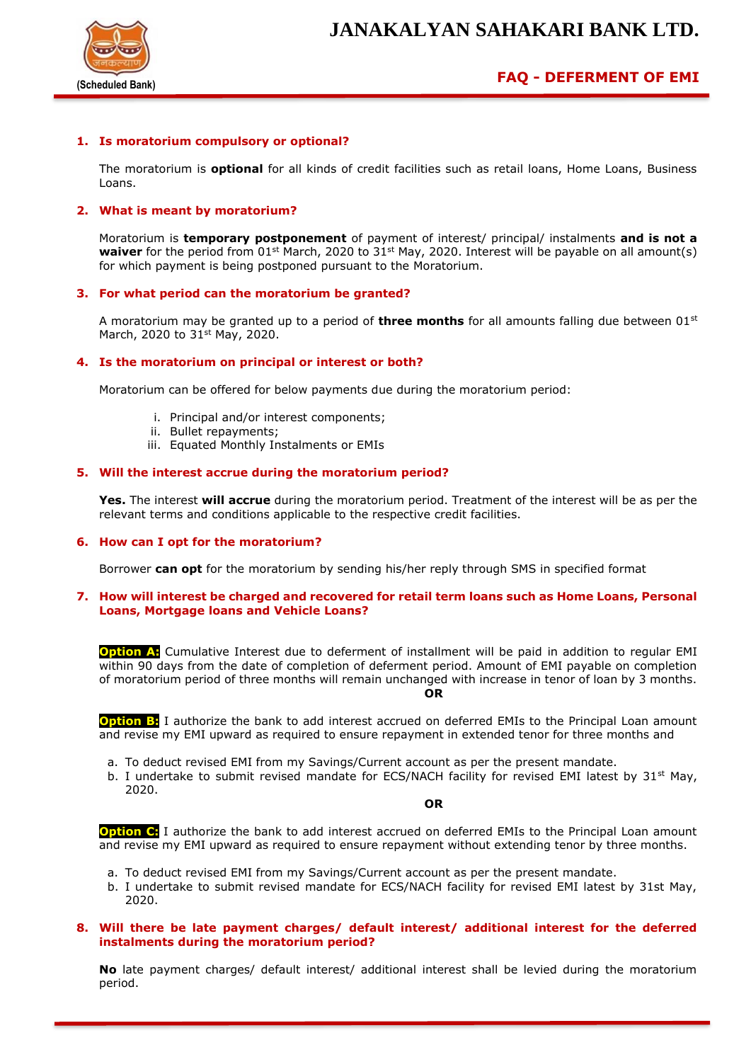

# **FAQ - DEFERMENT OF EMI**

## **1. Is moratorium compulsory or optional?**

The moratorium is **optional** for all kinds of credit facilities such as retail loans, Home Loans, Business Loans.

### **2. What is meant by moratorium?**

Moratorium is **temporary postponement** of payment of interest/ principal/ instalments **and is not a**  waiver for the period from 01<sup>st</sup> March, 2020 to 31<sup>st</sup> May, 2020. Interest will be payable on all amount(s) for which payment is being postponed pursuant to the Moratorium.

#### **3. For what period can the moratorium be granted?**

A moratorium may be granted up to a period of **three months** for all amounts falling due between 01st March, 2020 to 31<sup>st</sup> May, 2020.

#### **4. Is the moratorium on principal or interest or both?**

Moratorium can be offered for below payments due during the moratorium period:

- i. Principal and/or interest components;
- ii. Bullet repayments;
- iii. Equated Monthly Instalments or EMIs

#### **5. Will the interest accrue during the moratorium period?**

**Yes.** The interest **will accrue** during the moratorium period. Treatment of the interest will be as per the relevant terms and conditions applicable to the respective credit facilities.

#### **6. How can I opt for the moratorium?**

Borrower **can opt** for the moratorium by sending his/her reply through SMS in specified format

#### **7. How will interest be charged and recovered for retail term loans such as Home Loans, Personal Loans, Mortgage loans and Vehicle Loans?**

**Option A:** Cumulative Interest due to deferment of installment will be paid in addition to regular EMI within 90 days from the date of completion of deferment period. Amount of EMI payable on completion of moratorium period of three months will remain unchanged with increase in tenor of loan by 3 months. **OR**

**Option B:** I authorize the bank to add interest accrued on deferred EMIs to the Principal Loan amount and revise my EMI upward as required to ensure repayment in extended tenor for three months and

- a. To deduct revised EMI from my Savings/Current account as per the present mandate.
- b. I undertake to submit revised mandate for ECS/NACH facility for revised EMI latest by  $31^{st}$  May, 2020.

**OR**

**Option C:** I authorize the bank to add interest accrued on deferred EMIs to the Principal Loan amount and revise my EMI upward as required to ensure repayment without extending tenor by three months.

- a. To deduct revised EMI from my Savings/Current account as per the present mandate.
- b. I undertake to submit revised mandate for ECS/NACH facility for revised EMI latest by 31st May, 2020.

#### **8. Will there be late payment charges/ default interest/ additional interest for the deferred instalments during the moratorium period?**

**No** late payment charges/ default interest/ additional interest shall be levied during the moratorium period.